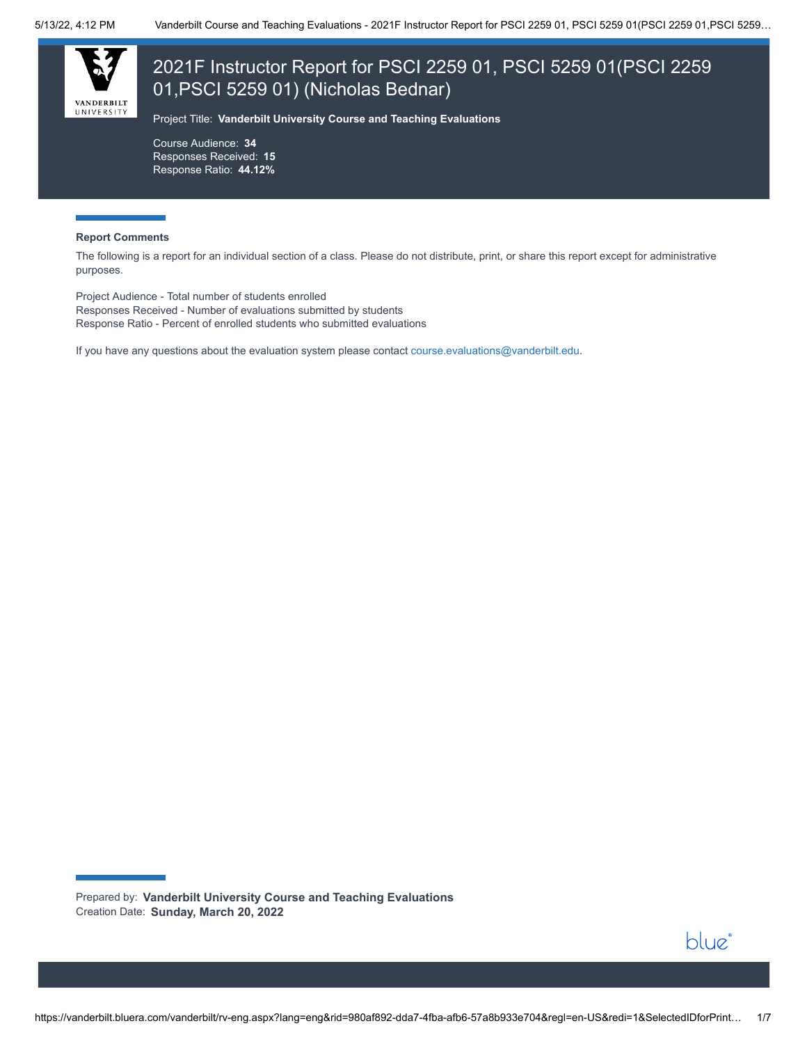

# 2021F Instructor Report for PSCI 2259 01, PSCI 5259 01(PSCI 2259 01,PSCI 5259 01) (Nicholas Bednar)

Project Title: **Vanderbilt University Course and Teaching Evaluations**

Course Audience: **34** Responses Received: **15** Response Ratio: **44.12%**

#### **Report Comments**

The following is a report for an individual section of a class. Please do not distribute, print, or share this report except for administrative purposes.

Project Audience - Total number of students enrolled Responses Received - Number of evaluations submitted by students Response Ratio - Percent of enrolled students who submitted evaluations

If you have any questions about the evaluation system please contact [course.evaluations@vanderbilt.edu.](mailto:course.evaluations@vanderbilt.edu)

Prepared by: **Vanderbilt University Course and Teaching Evaluations** Creation Date: **Sunday, March 20, 2022**

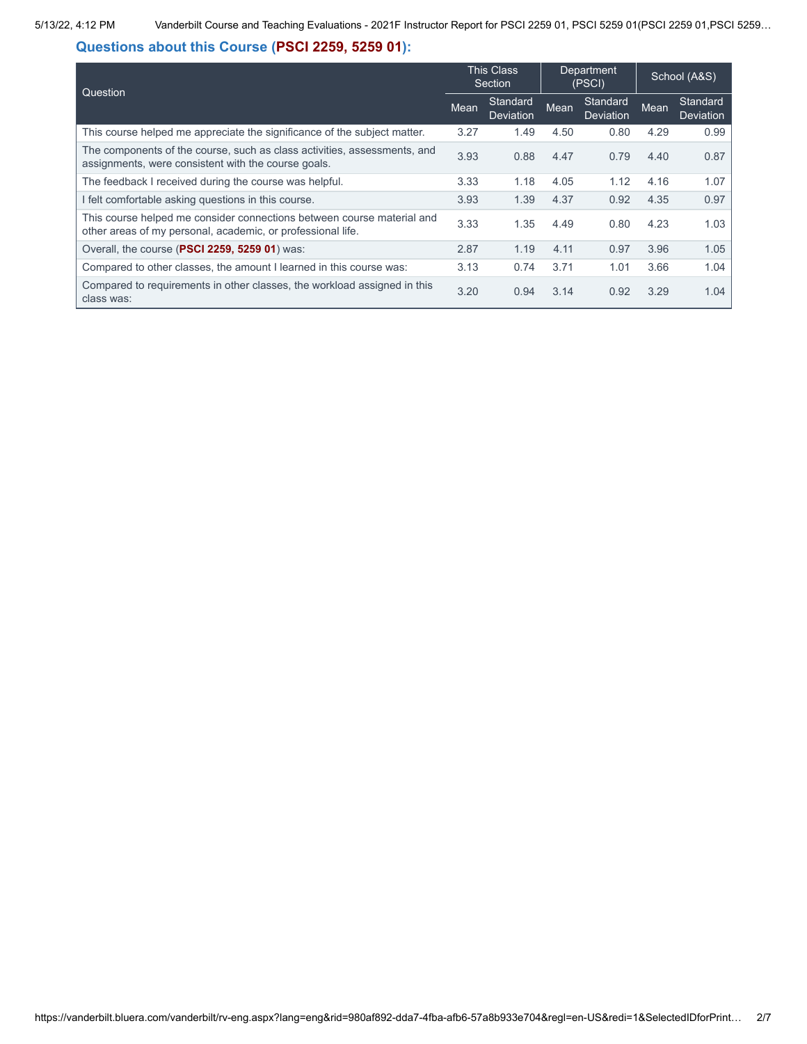## **Questions about this Course (PSCI 2259, 5259 01):**

| Question                                                                                                                              | <b>This Class</b><br>Section |                              | Department<br>(PSCI) |                              | School (A&S) |                              |
|---------------------------------------------------------------------------------------------------------------------------------------|------------------------------|------------------------------|----------------------|------------------------------|--------------|------------------------------|
| Mean                                                                                                                                  |                              | Standard<br><b>Deviation</b> | Mean                 | Standard<br><b>Deviation</b> | Mean         | Standard<br><b>Deviation</b> |
| This course helped me appreciate the significance of the subject matter.                                                              | 3.27                         | 1.49                         | 4.50                 | 0.80                         | 4.29         | 0.99                         |
| The components of the course, such as class activities, assessments, and<br>assignments, were consistent with the course goals.       | 3.93                         | 0.88                         | 4.47                 | 0.79                         | 4.40         | 0.87                         |
| The feedback I received during the course was helpful.                                                                                | 3.33                         | 1.18                         | 4.05                 | 1.12                         | 4.16         | 1.07                         |
| I felt comfortable asking questions in this course.                                                                                   | 3.93                         | 1.39                         | 4.37                 | 0.92                         | 4.35         | 0.97                         |
| This course helped me consider connections between course material and<br>other areas of my personal, academic, or professional life. | 3.33                         | 1.35                         | 4.49                 | 0.80                         | 4.23         | 1.03                         |
| Overall, the course (PSCI 2259, 5259 01) was:                                                                                         | 2.87                         | 1.19                         | 4.11                 | 0.97                         | 3.96         | 1.05                         |
| Compared to other classes, the amount I learned in this course was:                                                                   | 3.13                         | 0.74                         | 3.71                 | 1.01                         | 3.66         | 1.04                         |
| Compared to requirements in other classes, the workload assigned in this<br>class was:                                                | 3.20                         | 0.94                         | 3.14                 | 0.92                         | 3.29         | 1.04                         |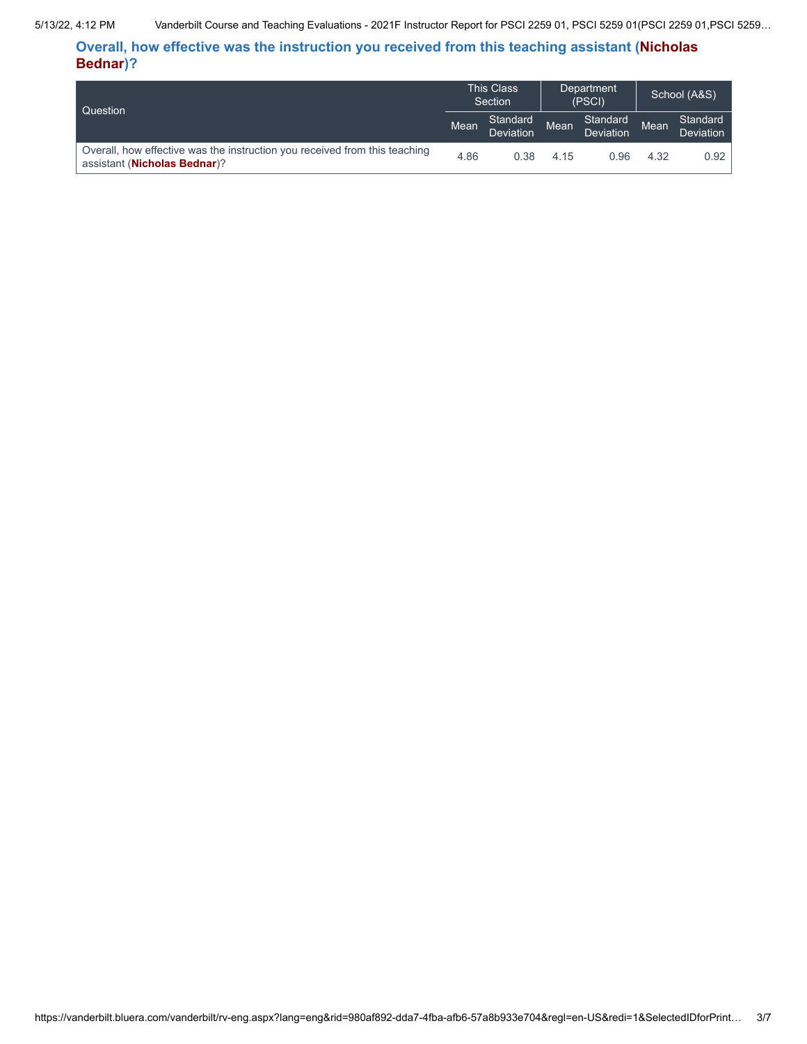5/13/22, 4:12 PM Vanderbilt Course and Teaching Evaluations - 2021F Instructor Report for PSCI 2259 01, PSCI 5259 01(PSCI 2259 01,PSCI 5259…

**Overall, how effective was the instruction you received from this teaching assistant (Nicholas Bednar)?**

| Question                                                                                                   |      | <b>This Class</b><br>Section |      | Department<br>(PSCI)  |      | School (A&S)          |  |
|------------------------------------------------------------------------------------------------------------|------|------------------------------|------|-----------------------|------|-----------------------|--|
|                                                                                                            |      | Standard<br>Deviation        | Mean | Standard<br>Deviation | Mean | Standard<br>Deviation |  |
| Overall, how effective was the instruction you received from this teaching<br>assistant (Nicholas Bednar)? | 4.86 | 0.38                         | 4.15 | 0.96                  | 4.32 | 0.92                  |  |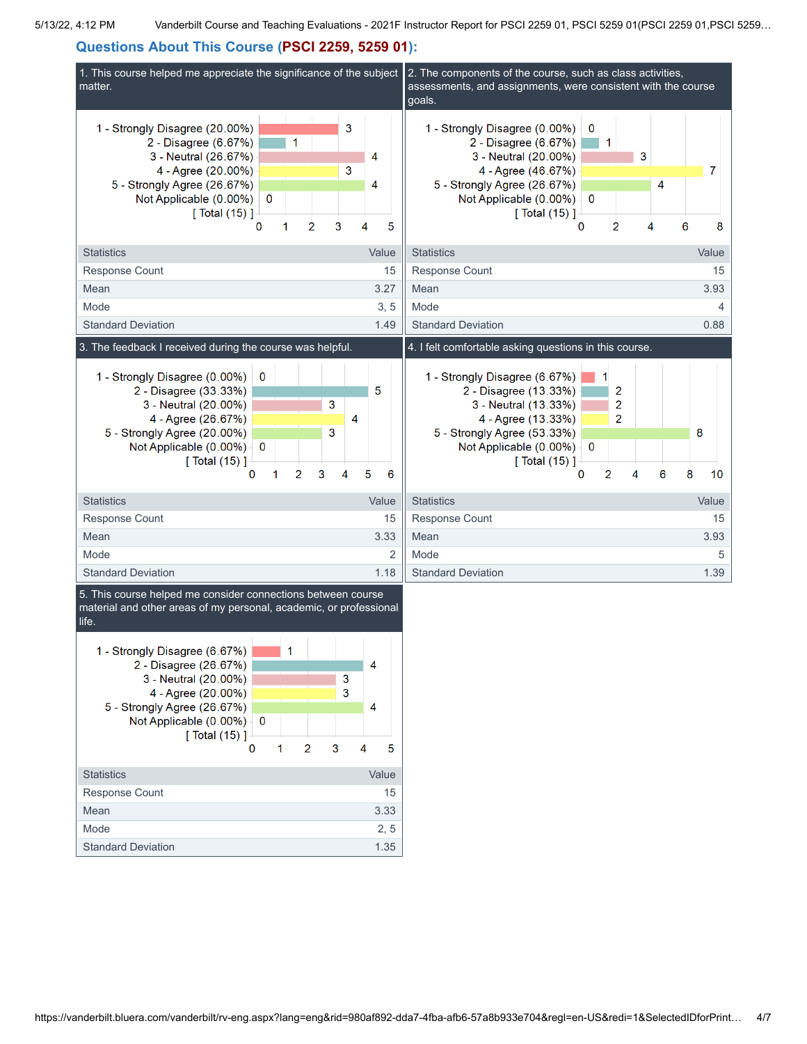## **Questions About This Course (PSCI 2259, 5259 01):**



| 1 - Strongly Disagree (6.67%) |       |
|-------------------------------|-------|
| 2 - Disagree (26.67%)         | 4     |
| 3<br>3 - Neutral (20.00%)     |       |
| 3<br>4 - Agree (20.00%)       |       |
| 5 - Strongly Agree (26.67%)   | 4     |
| Not Applicable (0.00%)<br>0   |       |
| $\lceil$ Total (15) 1-        |       |
| 2<br>з<br>0                   | 5     |
|                               |       |
| <b>Statistics</b>             | Value |
| Response Count                | 15    |
| Mean                          | 3.33  |
| Mode                          | 2, 5  |
| <b>Standard Deviation</b>     | 1.35  |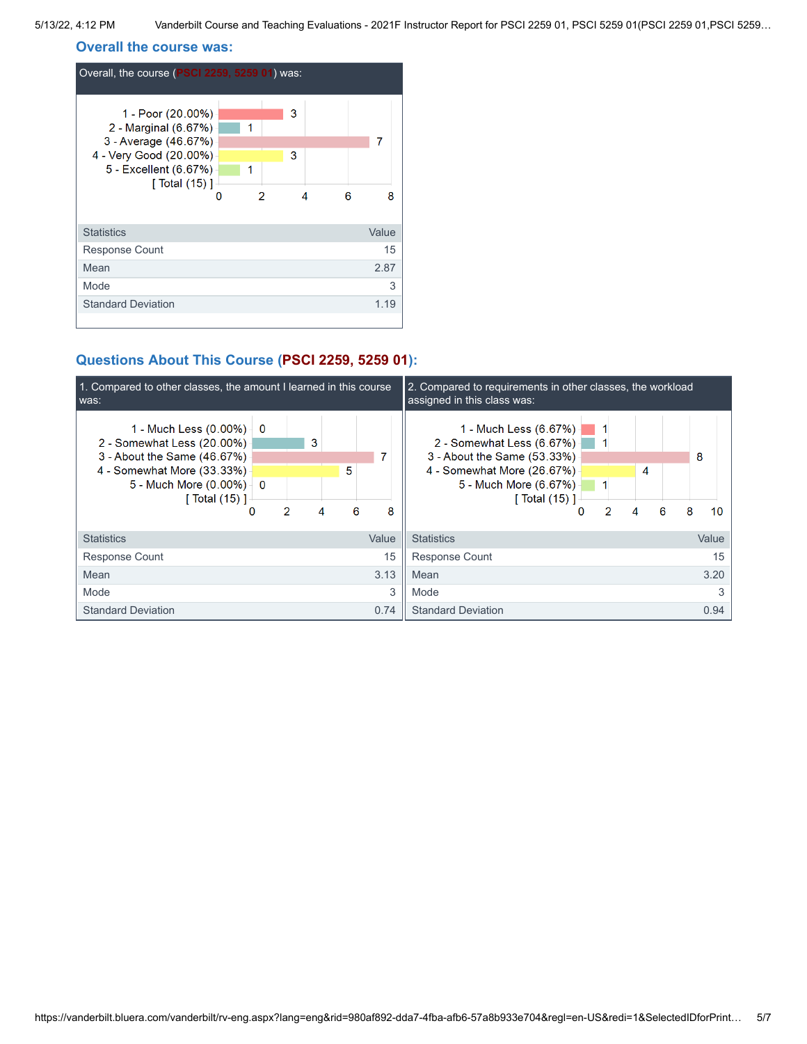5/13/22, 4:12 PM Vanderbilt Course and Teaching Evaluations - 2021F Instructor Report for PSCI 2259 01, PSCI 5259 01(PSCI 2259 01,PSCI 5259…

#### **Overall the course was:**

| Overall, the course (PSCI 2259, 5259 01) was:                                                                                          |        |        |   |   |       |
|----------------------------------------------------------------------------------------------------------------------------------------|--------|--------|---|---|-------|
| 1 - Poor (20.00%)<br>2 - Marginal (6.67%)<br>3 - Average (46.67%)<br>4 - Very Good (20.00%)<br>5 - Excellent (6.67%)<br>[ Total (15) ] | 1<br>1 | 3<br>3 |   |   | 7     |
|                                                                                                                                        | 2      |        | 4 | 6 | 8     |
| <b>Statistics</b>                                                                                                                      |        |        |   |   | Value |
| <b>Response Count</b>                                                                                                                  |        |        |   |   | 15    |
| Mean                                                                                                                                   |        |        |   |   | 2.87  |
| Mode                                                                                                                                   |        |        |   |   | 3     |
| <b>Standard Deviation</b>                                                                                                              |        |        |   |   | 1.19  |
|                                                                                                                                        |        |        |   |   |       |

### **Questions About This Course (PSCI 2259, 5259 01):**

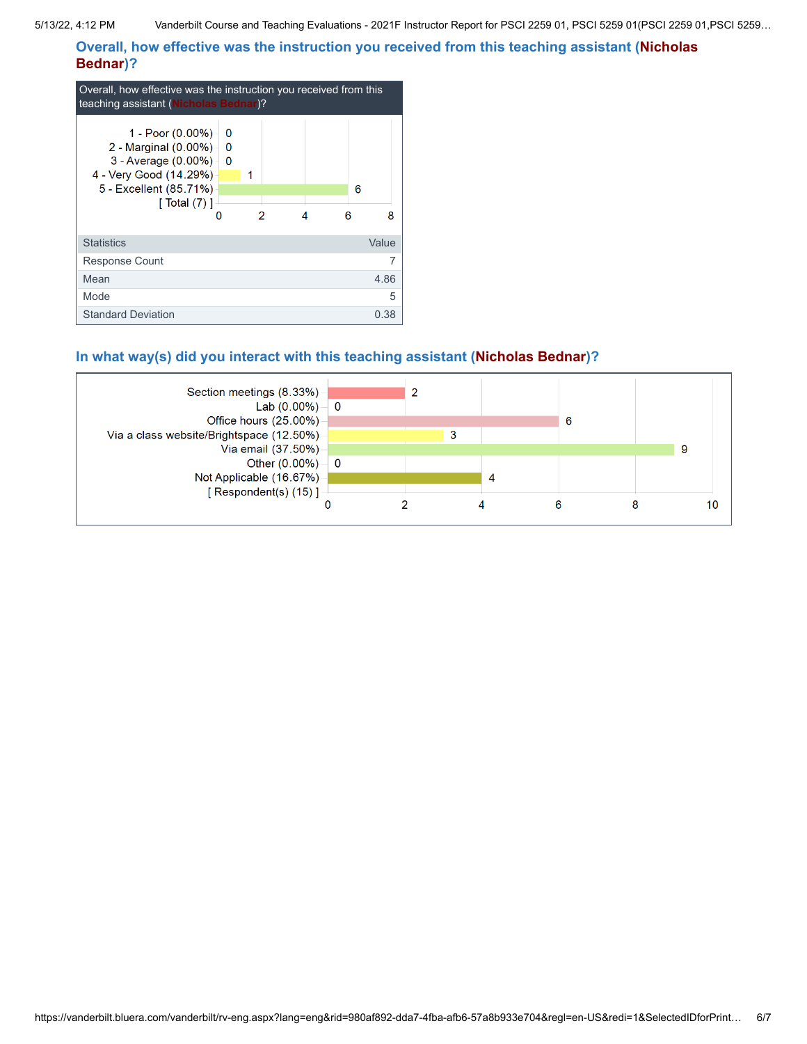**Overall, how effective was the instruction you received from this teaching assistant (Nicholas Bednar)?**

| Overall, how effective was the instruction you received from this<br>teaching assistant (Nicholas Bednar)?                                    |                    |   |  |   |        |
|-----------------------------------------------------------------------------------------------------------------------------------------------|--------------------|---|--|---|--------|
| 1 - Poor (0.00%) -<br>2 - Marginal (0.00%) -<br>3 - Average $(0.00\%)$<br>4 - Very Good (14.29%)<br>5 - Excellent (85.71%)<br>[ Total $(7)$ ] | O<br>0<br>$\bf{0}$ | 1 |  | ค | 6<br>8 |
| <b>Statistics</b>                                                                                                                             |                    |   |  |   | Value  |
| Response Count                                                                                                                                |                    |   |  |   |        |
| Mean                                                                                                                                          |                    |   |  |   | 4.86   |
| Mode                                                                                                                                          |                    |   |  |   | 5      |
| <b>Standard Deviation</b>                                                                                                                     |                    |   |  |   | 0.38   |

### **In what way(s) did you interact with this teaching assistant (Nicholas Bednar)?**